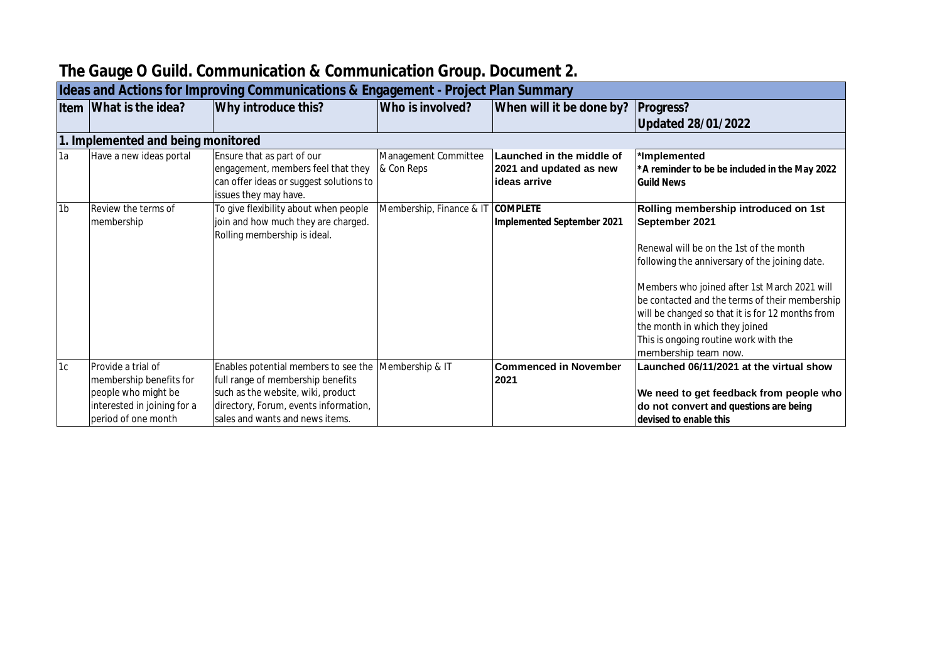| Ideas and Actions for Improving Communications & Engagement - Project Plan Summary |                                                                                                                            |                                                                                                                                                                                             |                                    |                                                                      |                                                                                                                                                                                                                                                                                                                                                                                                              |  |  |  |
|------------------------------------------------------------------------------------|----------------------------------------------------------------------------------------------------------------------------|---------------------------------------------------------------------------------------------------------------------------------------------------------------------------------------------|------------------------------------|----------------------------------------------------------------------|--------------------------------------------------------------------------------------------------------------------------------------------------------------------------------------------------------------------------------------------------------------------------------------------------------------------------------------------------------------------------------------------------------------|--|--|--|
|                                                                                    | Item What is the idea?                                                                                                     | Why introduce this?                                                                                                                                                                         | Who is involved?                   | When will it be done by?                                             | Progress?<br><b>Updated 28/01/2022</b>                                                                                                                                                                                                                                                                                                                                                                       |  |  |  |
|                                                                                    | 1. Implemented and being monitored                                                                                         |                                                                                                                                                                                             |                                    |                                                                      |                                                                                                                                                                                                                                                                                                                                                                                                              |  |  |  |
| 1a                                                                                 | Have a new ideas portal                                                                                                    | Ensure that as part of our<br>engagement, members feel that they<br>can offer ideas or suggest solutions to<br>issues they may have.                                                        | Management Committee<br>& Con Reps | Launched in the middle of<br>2021 and updated as new<br>ideas arrive | *Implemented<br>*A reminder to be be included in the May 2022<br><b>Guild News</b>                                                                                                                                                                                                                                                                                                                           |  |  |  |
| 1 <sub>b</sub>                                                                     | Review the terms of<br>membership                                                                                          | To give flexibility about when people<br>join and how much they are charged.<br>Rolling membership is ideal.                                                                                | Membership, Finance & IT COMPLETE  | Implemented September 2021                                           | Rolling membership introduced on 1st<br>September 2021<br>Renewal will be on the 1st of the month<br>following the anniversary of the joining date.<br>Members who joined after 1st March 2021 will<br>be contacted and the terms of their membership<br>will be changed so that it is for 12 months from<br>the month in which they joined<br>This is ongoing routine work with the<br>membership team now. |  |  |  |
| 1c                                                                                 | Provide a trial of<br>membership benefits for<br>people who might be<br>interested in joining for a<br>period of one month | Enables potential members to see the<br>full range of membership benefits<br>such as the website, wiki, product<br>directory, Forum, events information,<br>sales and wants and news items. | Membership & IT                    | <b>Commenced in November</b><br>2021                                 | Launched 06/11/2021 at the virtual show<br>We need to get feedback from people who<br>do not convert and questions are being<br>devised to enable this                                                                                                                                                                                                                                                       |  |  |  |

## **The Gauge O Guild. Communication & Communication Group. Document 2.**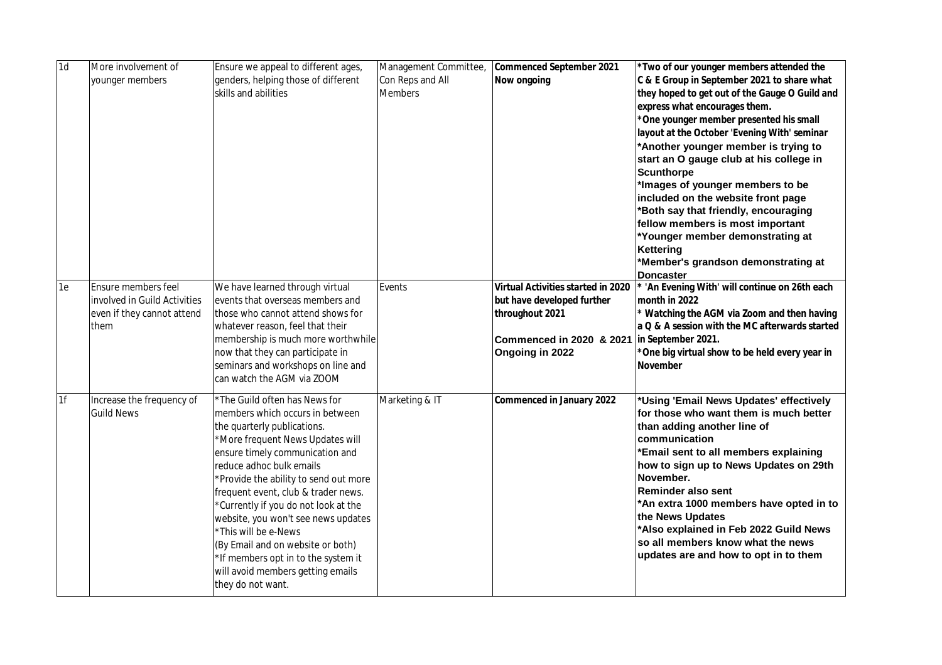| 1d<br>More involvement of<br>Ensure we appeal to different ages,<br>Management Committee,<br>Commenced September 2021                                      | *Two of our younger members attended the       |
|------------------------------------------------------------------------------------------------------------------------------------------------------------|------------------------------------------------|
| Con Reps and All<br>C & E Group in September 2021 to share what<br>genders, helping those of different<br>Now ongoing<br>younger members                   |                                                |
| <b>Members</b><br>skills and abilities                                                                                                                     | they hoped to get out of the Gauge O Guild and |
| express what encourages them.                                                                                                                              |                                                |
| *One younger member presented his small                                                                                                                    |                                                |
| layout at the October 'Evening With' seminar                                                                                                               |                                                |
| *Another younger member is trying to                                                                                                                       |                                                |
| start an O gauge club at his college in<br><b>Scunthorpe</b>                                                                                               |                                                |
| *Images of younger members to be                                                                                                                           |                                                |
| included on the website front page                                                                                                                         |                                                |
| *Both say that friendly, encouraging                                                                                                                       |                                                |
| fellow members is most important                                                                                                                           |                                                |
| *Younger member demonstrating at                                                                                                                           |                                                |
| Kettering                                                                                                                                                  |                                                |
| *Member's grandson demonstrating at<br><b>Doncaster</b>                                                                                                    |                                                |
| 1e<br><b>Ensure members feel</b><br>We have learned through virtual<br>Virtual Activities started in 2020<br>Events                                        | 'An Evening With' will continue on 26th each   |
| involved in Guild Activities<br>events that overseas members and<br>but have developed further<br>month in 2022                                            |                                                |
| even if they cannot attend<br>those who cannot attend shows for<br>throughout 2021                                                                         | * Watching the AGM via Zoom and then having    |
| a Q & A session with the MC afterwards started<br>whatever reason, feel that their<br>them                                                                 |                                                |
| Commenced in 2020 & 2021 in September 2021.<br>membership is much more worthwhile                                                                          |                                                |
| now that they can participate in<br>Ongoing in 2022<br>*One big virtual show to be held every year in                                                      |                                                |
| seminars and workshops on line and<br><b>November</b>                                                                                                      |                                                |
| can watch the AGM via ZOOM                                                                                                                                 |                                                |
| 1f<br>Marketing & IT<br>Increase the frequency of<br>*The Guild often has News for<br>Commenced in January 2022<br>*Using 'Email News Updates' effectively |                                                |
| <b>Guild News</b><br>for those who want them is much better<br>members which occurs in between                                                             |                                                |
| than adding another line of<br>the quarterly publications.                                                                                                 |                                                |
| communication<br>*More frequent News Updates will                                                                                                          |                                                |
| *Email sent to all members explaining<br>ensure timely communication and                                                                                   |                                                |
| how to sign up to News Updates on 29th<br>reduce adhoc bulk emails<br>November.                                                                            |                                                |
| *Provide the ability to send out more<br><b>Reminder also sent</b>                                                                                         |                                                |
| frequent event, club & trader news.<br>*Currently if you do not look at the                                                                                | *An extra 1000 members have opted in to        |
| the News Updates<br>website, you won't see news updates                                                                                                    |                                                |
| *Also explained in Feb 2022 Guild News<br>*This will be e-News                                                                                             |                                                |
| so all members know what the news<br>(By Email and on website or both)                                                                                     |                                                |
| updates are and how to opt in to them<br>*If members opt in to the system it                                                                               |                                                |
| will avoid members getting emails                                                                                                                          |                                                |
| they do not want.                                                                                                                                          |                                                |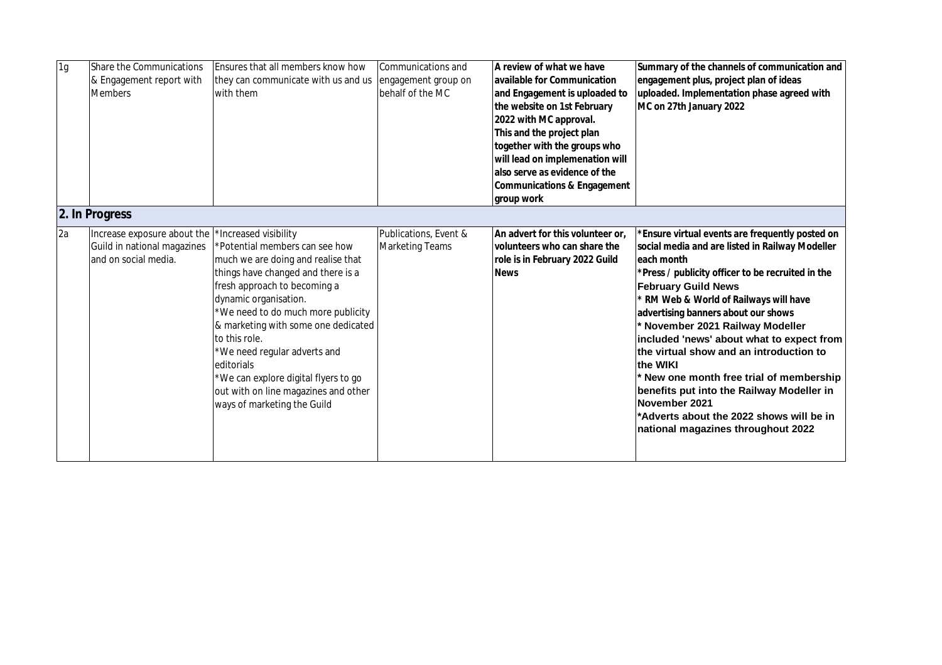| 1 <sub>g</sub> | Share the Communications<br>& Engagement report with<br><b>Members</b>              | Ensures that all members know how<br>they can communicate with us and us<br>with them                                                                                                                                                                                                                                                                                                                                                                   | Communications and<br>engagement group on<br>behalf of the MC | A review of what we have<br>available for Communication<br>and Engagement is uploaded to<br>the website on 1st February<br>2022 with MC approval.<br>This and the project plan<br>together with the groups who<br>will lead on implemenation will<br>also serve as evidence of the<br>Communications & Engagement<br>group work | Summary of the channels of communication and<br>engagement plus, project plan of ideas<br>uploaded. Implementation phase agreed with<br>MC on 27th January 2022                                                                                                                                                                                                                                                                                                                                                                                                                                                    |
|----------------|-------------------------------------------------------------------------------------|---------------------------------------------------------------------------------------------------------------------------------------------------------------------------------------------------------------------------------------------------------------------------------------------------------------------------------------------------------------------------------------------------------------------------------------------------------|---------------------------------------------------------------|---------------------------------------------------------------------------------------------------------------------------------------------------------------------------------------------------------------------------------------------------------------------------------------------------------------------------------|--------------------------------------------------------------------------------------------------------------------------------------------------------------------------------------------------------------------------------------------------------------------------------------------------------------------------------------------------------------------------------------------------------------------------------------------------------------------------------------------------------------------------------------------------------------------------------------------------------------------|
|                | 2. In Progress                                                                      |                                                                                                                                                                                                                                                                                                                                                                                                                                                         |                                                               |                                                                                                                                                                                                                                                                                                                                 |                                                                                                                                                                                                                                                                                                                                                                                                                                                                                                                                                                                                                    |
| 2a             | Increase exposure about the<br>Guild in national magazines<br>land on social media. | *Increased visibility<br>*Potential members can see how<br>much we are doing and realise that<br>things have changed and there is a<br>fresh approach to becoming a<br>dynamic organisation.<br>*We need to do much more publicity<br>& marketing with some one dedicated<br>to this role.<br>*We need regular adverts and<br>editorials<br>*We can explore digital flyers to go<br>out with on line magazines and other<br>ways of marketing the Guild | Publications, Event &<br><b>Marketing Teams</b>               | An advert for this volunteer or.<br>volunteers who can share the<br>role is in February 2022 Guild<br><b>News</b>                                                                                                                                                                                                               | *Ensure virtual events are frequently posted on<br>social media and are listed in Railway Modeller<br>each month<br>*Press / publicity officer to be recruited in the<br><b>February Guild News</b><br>RM Web & World of Railways will have<br>advertising banners about our shows<br>November 2021 Railway Modeller<br>included 'news' about what to expect from<br>the virtual show and an introduction to<br>the WIKI<br>New one month free trial of membership<br>benefits put into the Railway Modeller in<br>November 2021<br>*Adverts about the 2022 shows will be in<br>national magazines throughout 2022 |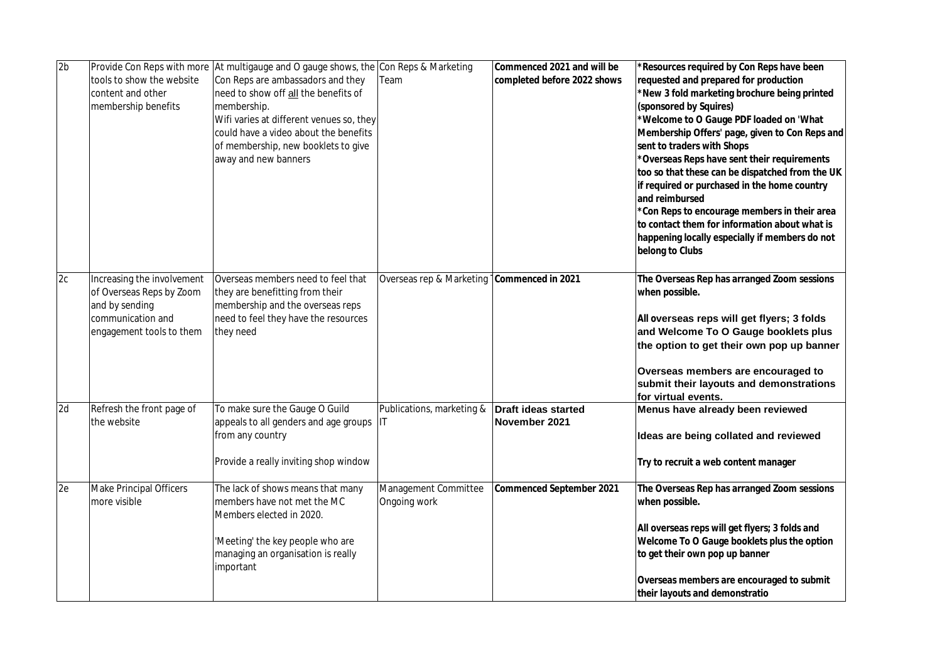| 2 <sub>b</sub> |                                | Provide Con Reps with more At multigauge and O gauge shows, the Con Reps & Marketing |                                              | Commenced 2021 and will be  | *Resources required by Con Reps have been                     |
|----------------|--------------------------------|--------------------------------------------------------------------------------------|----------------------------------------------|-----------------------------|---------------------------------------------------------------|
|                | tools to show the website      | Con Reps are ambassadors and they                                                    | Team                                         | completed before 2022 shows | requested and prepared for production                         |
|                | content and other              | need to show off all the benefits of                                                 |                                              |                             | *New 3 fold marketing brochure being printed                  |
|                | membership benefits            | membership.                                                                          |                                              |                             | (sponsored by Squires)                                        |
|                |                                | Wifi varies at different venues so, they                                             |                                              |                             | *Welcome to O Gauge PDF loaded on 'What                       |
|                |                                | could have a video about the benefits                                                |                                              |                             | Membership Offers' page, given to Con Reps and                |
|                |                                | of membership, new booklets to give                                                  |                                              |                             | sent to traders with Shops                                    |
|                |                                | away and new banners                                                                 |                                              |                             | *Overseas Reps have sent their requirements                   |
|                |                                |                                                                                      |                                              |                             | too so that these can be dispatched from the UK               |
|                |                                |                                                                                      |                                              |                             | if required or purchased in the home country                  |
|                |                                |                                                                                      |                                              |                             | and reimbursed                                                |
|                |                                |                                                                                      |                                              |                             | *Con Reps to encourage members in their area                  |
|                |                                |                                                                                      |                                              |                             | to contact them for information about what is                 |
|                |                                |                                                                                      |                                              |                             | happening locally especially if members do not                |
|                |                                |                                                                                      |                                              |                             | belong to Clubs                                               |
| 2c             | Increasing the involvement     | Overseas members need to feel that                                                   | Overseas rep & Marketing   Commenced in 2021 |                             | The Overseas Rep has arranged Zoom sessions                   |
|                | of Overseas Reps by Zoom       | they are benefitting from their                                                      |                                              |                             | when possible.                                                |
|                | and by sending                 | membership and the overseas reps                                                     |                                              |                             |                                                               |
|                | communication and              | need to feel they have the resources                                                 |                                              |                             | All overseas reps will get flyers; 3 folds                    |
|                | engagement tools to them       | they need                                                                            |                                              |                             | and Welcome To O Gauge booklets plus                          |
|                |                                |                                                                                      |                                              |                             | the option to get their own pop up banner                     |
|                |                                |                                                                                      |                                              |                             | Overseas members are encouraged to                            |
|                |                                |                                                                                      |                                              |                             | submit their layouts and demonstrations                       |
|                |                                |                                                                                      |                                              |                             | for virtual events.                                           |
| 2d             | Refresh the front page of      | To make sure the Gauge O Guild                                                       | Publications, marketing &                    | <b>Draft ideas started</b>  | Menus have already been reviewed                              |
|                | the website                    | appeals to all genders and age groups                                                | IΙT                                          | November 2021               |                                                               |
|                |                                | from any country                                                                     |                                              |                             | Ideas are being collated and reviewed                         |
|                |                                | Provide a really inviting shop window                                                |                                              |                             | Try to recruit a web content manager                          |
| 2e             | <b>Make Principal Officers</b> |                                                                                      | Management Committee                         | Commenced September 2021    |                                                               |
|                | more visible                   | The lack of shows means that many<br>members have not met the MC                     | Ongoing work                                 |                             | The Overseas Rep has arranged Zoom sessions<br>when possible. |
|                |                                | Members elected in 2020.                                                             |                                              |                             |                                                               |
|                |                                |                                                                                      |                                              |                             | All overseas reps will get flyers; 3 folds and                |
|                |                                | 'Meeting' the key people who are                                                     |                                              |                             | Welcome To O Gauge booklets plus the option                   |
|                |                                | managing an organisation is really                                                   |                                              |                             | to get their own pop up banner                                |
|                |                                | important                                                                            |                                              |                             |                                                               |
|                |                                |                                                                                      |                                              |                             | Overseas members are encouraged to submit                     |
|                |                                |                                                                                      |                                              |                             | their layouts and demonstratio                                |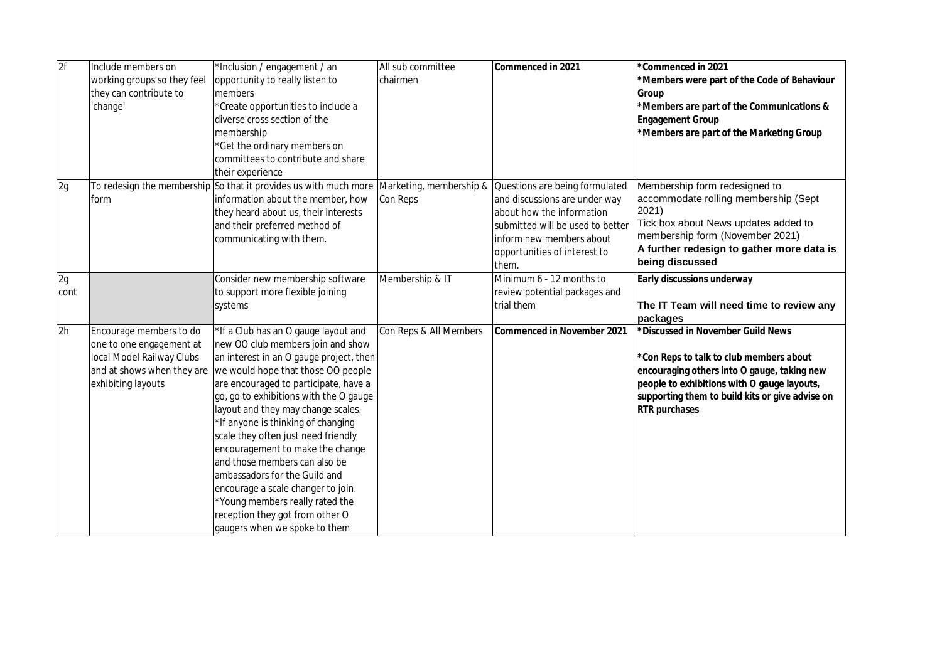| 2f   | Include members on          | *Inclusion / engagement / an                                                             | All sub committee      | Commenced in 2021                | *Commenced in 2021                              |
|------|-----------------------------|------------------------------------------------------------------------------------------|------------------------|----------------------------------|-------------------------------------------------|
|      | working groups so they feel | opportunity to really listen to                                                          | chairmen               |                                  | *Members were part of the Code of Behaviour     |
|      | they can contribute to      | members                                                                                  |                        |                                  | Group                                           |
|      | 'change'                    | *Create opportunities to include a                                                       |                        |                                  | *Members are part of the Communications &       |
|      |                             | diverse cross section of the                                                             |                        |                                  | <b>Engagement Group</b>                         |
|      |                             | membership                                                                               |                        |                                  | *Members are part of the Marketing Group        |
|      |                             | *Get the ordinary members on                                                             |                        |                                  |                                                 |
|      |                             | committees to contribute and share                                                       |                        |                                  |                                                 |
|      |                             | their experience                                                                         |                        |                                  |                                                 |
| 2g   |                             | To redesign the membership So that it provides us with much more Marketing, membership & |                        | Questions are being formulated   | Membership form redesigned to                   |
|      | form                        | information about the member, how                                                        | Con Reps               | and discussions are under way    | accommodate rolling membership (Sept            |
|      |                             | they heard about us, their interests                                                     |                        | about how the information        | 2021)                                           |
|      |                             | and their preferred method of                                                            |                        | submitted will be used to better | Tick box about News updates added to            |
|      |                             | communicating with them.                                                                 |                        | inform new members about         | membership form (November 2021)                 |
|      |                             |                                                                                          |                        | opportunities of interest to     | A further redesign to gather more data is       |
|      |                             |                                                                                          |                        | them.                            | being discussed                                 |
| 2g   |                             | Consider new membership software                                                         | Membership & IT        | Minimum 6 - 12 months to         | Early discussions underway                      |
| cont |                             | to support more flexible joining                                                         |                        | review potential packages and    |                                                 |
|      |                             | systems                                                                                  |                        | trial them                       | The IT Team will need time to review any        |
|      |                             |                                                                                          |                        |                                  | packages                                        |
| 2h   | Encourage members to do     | *If a Club has an O gauge layout and                                                     | Con Reps & All Members | Commenced in November 2021       | *Discussed in November Guild News               |
|      | one to one engagement at    | new OO club members join and show                                                        |                        |                                  |                                                 |
|      | local Model Railway Clubs   | an interest in an O gauge project, then                                                  |                        |                                  | *Con Reps to talk to club members about         |
|      | and at shows when they are  | we would hope that those OO people                                                       |                        |                                  | encouraging others into O gauge, taking new     |
|      | exhibiting layouts          | are encouraged to participate, have a                                                    |                        |                                  | people to exhibitions with O gauge layouts,     |
|      |                             | go, go to exhibitions with the O gauge                                                   |                        |                                  | supporting them to build kits or give advise on |
|      |                             | layout and they may change scales.                                                       |                        |                                  | RTR purchases                                   |
|      |                             | *If anyone is thinking of changing                                                       |                        |                                  |                                                 |
|      |                             | scale they often just need friendly                                                      |                        |                                  |                                                 |
|      |                             | encouragement to make the change                                                         |                        |                                  |                                                 |
|      |                             | and those members can also be                                                            |                        |                                  |                                                 |
|      |                             | ambassadors for the Guild and                                                            |                        |                                  |                                                 |
|      |                             | encourage a scale changer to join.                                                       |                        |                                  |                                                 |
|      |                             | *Young members really rated the                                                          |                        |                                  |                                                 |
|      |                             | reception they got from other O                                                          |                        |                                  |                                                 |
|      |                             | gaugers when we spoke to them                                                            |                        |                                  |                                                 |